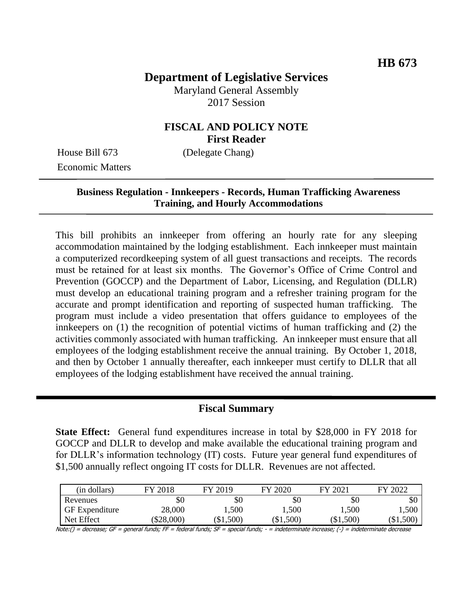# **Department of Legislative Services**

Maryland General Assembly 2017 Session

## **FISCAL AND POLICY NOTE First Reader**

House Bill 673 (Delegate Chang) Economic Matters

#### **Business Regulation - Innkeepers - Records, Human Trafficking Awareness Training, and Hourly Accommodations**

This bill prohibits an innkeeper from offering an hourly rate for any sleeping accommodation maintained by the lodging establishment. Each innkeeper must maintain a computerized recordkeeping system of all guest transactions and receipts. The records must be retained for at least six months. The Governor's Office of Crime Control and Prevention (GOCCP) and the Department of Labor, Licensing, and Regulation (DLLR) must develop an educational training program and a refresher training program for the accurate and prompt identification and reporting of suspected human trafficking. The program must include a video presentation that offers guidance to employees of the innkeepers on (1) the recognition of potential victims of human trafficking and (2) the activities commonly associated with human trafficking. An innkeeper must ensure that all employees of the lodging establishment receive the annual training. By October 1, 2018, and then by October 1 annually thereafter, each innkeeper must certify to DLLR that all employees of the lodging establishment have received the annual training.

#### **Fiscal Summary**

**State Effect:** General fund expenditures increase in total by \$28,000 in FY 2018 for GOCCP and DLLR to develop and make available the educational training program and for DLLR's information technology (IT) costs. Future year general fund expenditures of \$1,500 annually reflect ongoing IT costs for DLLR. Revenues are not affected.

| (in dollars)          | FY 2018  | FY 2019 | FY 2020 | FY 2021 | FY 2022   |
|-----------------------|----------|---------|---------|---------|-----------|
| Revenues              | \$0      | \$0     | \$0     | \$0     | \$0       |
| <b>GF</b> Expenditure | 28,000   | ,500    | ,500    | ,500    | ,500      |
| Net Effect            | \$28,000 | \$1,500 | \$1,500 | \$1,500 | $\$1,500$ |

Note:() = decrease; GF = general funds; FF = federal funds; SF = special funds; - = indeterminate increase; (-) = indeterminate decrease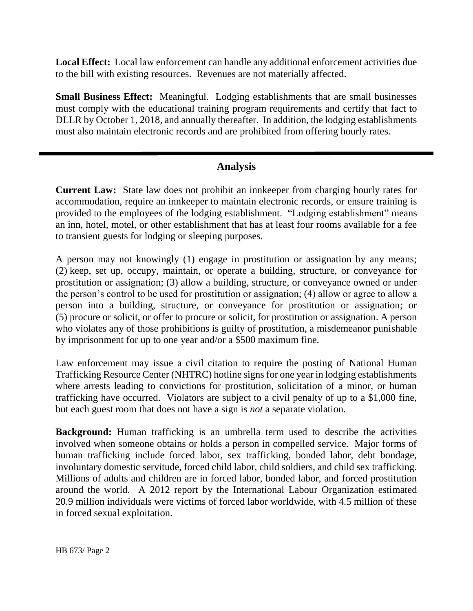**Local Effect:** Local law enforcement can handle any additional enforcement activities due to the bill with existing resources. Revenues are not materially affected.

**Small Business Effect:** Meaningful. Lodging establishments that are small businesses must comply with the educational training program requirements and certify that fact to DLLR by October 1, 2018, and annually thereafter. In addition, the lodging establishments must also maintain electronic records and are prohibited from offering hourly rates.

## **Analysis**

**Current Law:** State law does not prohibit an innkeeper from charging hourly rates for accommodation, require an innkeeper to maintain electronic records, or ensure training is provided to the employees of the lodging establishment. "Lodging establishment" means an inn, hotel, motel, or other establishment that has at least four rooms available for a fee to transient guests for lodging or sleeping purposes.

A person may not knowingly (1) engage in prostitution or assignation by any means; (2) keep, set up, occupy, maintain, or operate a building, structure, or conveyance for prostitution or assignation; (3) allow a building, structure, or conveyance owned or under the person's control to be used for prostitution or assignation; (4) allow or agree to allow a person into a building, structure, or conveyance for prostitution or assignation; or (5) procure or solicit, or offer to procure or solicit, for prostitution or assignation. A person who violates any of those prohibitions is guilty of prostitution, a misdemeanor punishable by imprisonment for up to one year and/or a \$500 maximum fine.

Law enforcement may issue a civil citation to require the posting of National Human Trafficking Resource Center (NHTRC) hotline signs for one year in lodging establishments where arrests leading to convictions for prostitution, solicitation of a minor, or human trafficking have occurred. Violators are subject to a civil penalty of up to a \$1,000 fine, but each guest room that does not have a sign is *not* a separate violation.

**Background:** Human trafficking is an umbrella term used to describe the activities involved when someone obtains or holds a person in compelled service. Major forms of human trafficking include forced labor, sex trafficking, bonded labor, debt bondage, involuntary domestic servitude, forced child labor, child soldiers, and child sex trafficking. Millions of adults and children are in forced labor, bonded labor, and forced prostitution around the world. A 2012 report by the International Labour Organization estimated 20.9 million individuals were victims of forced labor worldwide, with 4.5 million of these in forced sexual exploitation.